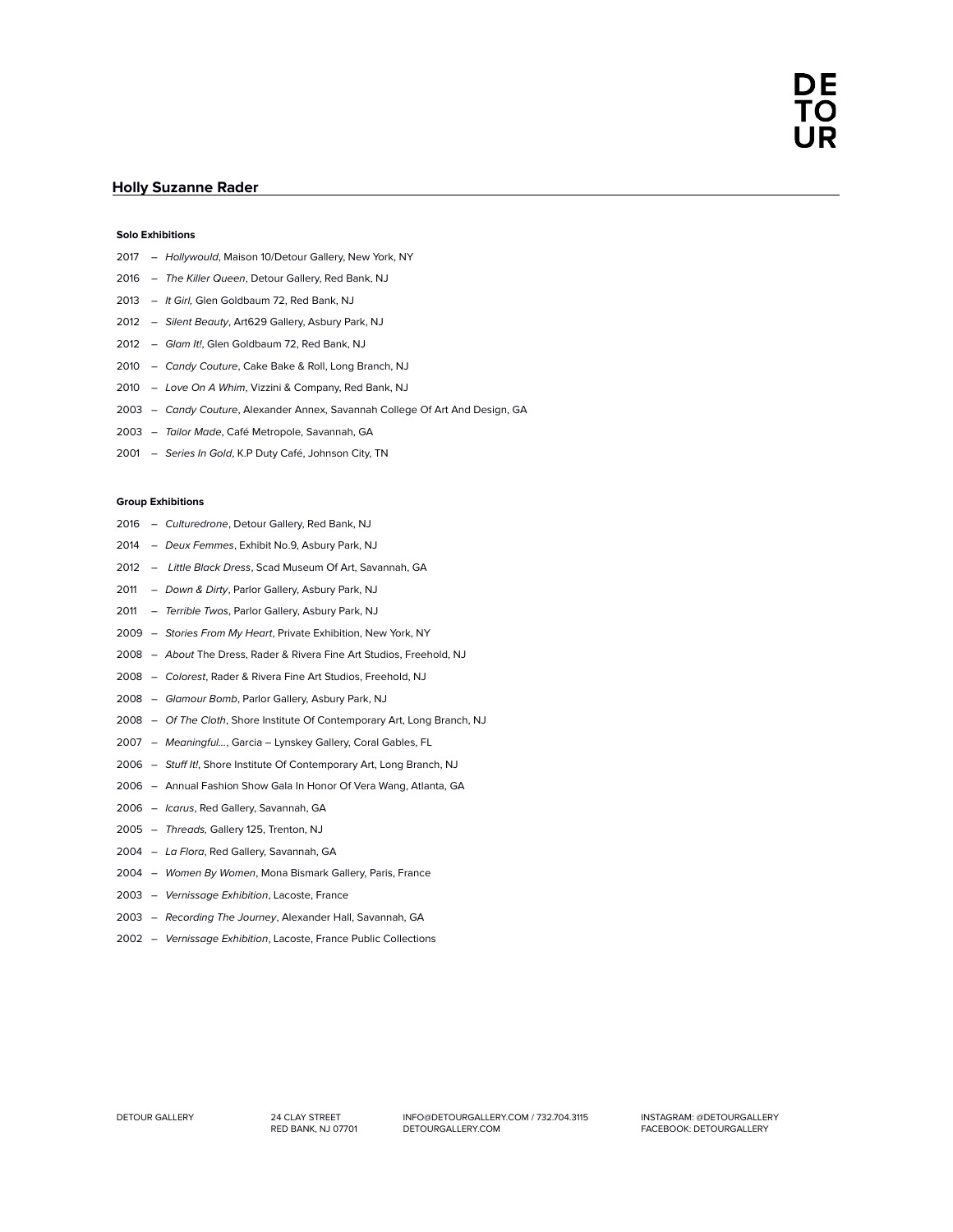## **Holly Suzanne Rader**

## **Solo Exhibitions**

- *Hollywould*, Maison 10/Detour Gallery, New York, NY
- *The Killer Queen*, Detour Gallery, Red Bank, NJ
- *It Girl,* Glen Goldbaum 72, Red Bank, NJ
- *Silent Beauty*, Art629 Gallery, Asbury Park, NJ
- *Glam It!*, Glen Goldbaum 72, Red Bank, NJ
- *Candy Couture*, Cake Bake & Roll, Long Branch, NJ
- *Love On A Whim*, Vizzini & Company, Red Bank, NJ
- *Candy Couture*, Alexander Annex, Savannah College Of Art And Design, GA
- *Tailor Made*, Café Metropole, Savannah, GA
- *Series In Gold*, K.P Duty Café, Johnson City, TN

## **Group Exhibitions**

- *Culturedrone*, Detour Gallery, Red Bank, NJ
- *Deux Femmes*, Exhibit No.9, Asbury Park, NJ
- *Little Black Dress*, Scad Museum Of Art, Savannah, GA
- *Down & Dirty*, Parlor Gallery, Asbury Park, NJ
- *Terrible Twos*, Parlor Gallery, Asbury Park, NJ
- *Stories From My Heart*, Private Exhibition, New York, NY
- *About* The Dress, Rader & Rivera Fine Art Studios, Freehold, NJ
- *Colorest*, Rader & Rivera Fine Art Studios, Freehold, NJ
- *Glamour Bomb*, Parlor Gallery, Asbury Park, NJ
- *Of The Cloth*, Shore Institute Of Contemporary Art, Long Branch, NJ
- *Meaningful…*, Garcia Lynskey Gallery, Coral Gables, FL
- *Stuf It!*, Shore Institute Of Contemporary Art, Long Branch, NJ
- Annual Fashion Show Gala In Honor Of Vera Wang, Atlanta, GA
- *Icarus*, Red Gallery, Savannah, GA
- *Threads,* Gallery 125, Trenton, NJ
- *La Flora*, Red Gallery, Savannah, GA
- *Women By Women*, Mona Bismark Gallery, Paris, France
- *Vernissage Exhibition*, Lacoste, France
- *Recording The Journey*, Alexander Hall, Savannah, GA
- *Vernissage Exhibition*, Lacoste, France Public Collections